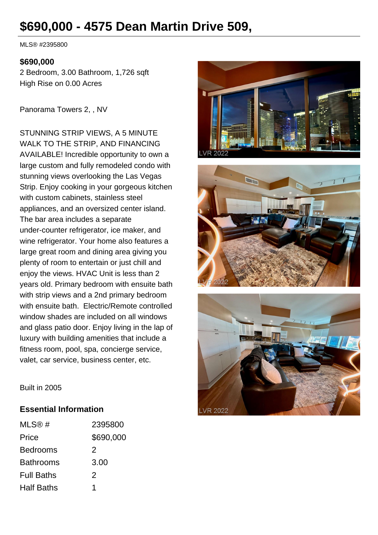# **\$690,000 - 4575 Dean Martin Drive 509,**

MLS® #2395800

#### **\$690,000**

2 Bedroom, 3.00 Bathroom, 1,726 sqft High Rise on 0.00 Acres

Panorama Towers 2, , NV

STUNNING STRIP VIEWS, A 5 MINUTE WALK TO THE STRIP, AND FINANCING AVAILABLE! Incredible opportunity to own a large custom and fully remodeled condo with stunning views overlooking the Las Vegas Strip. Enjoy cooking in your gorgeous kitchen with custom cabinets, stainless steel appliances, and an oversized center island. The bar area includes a separate under-counter refrigerator, ice maker, and wine refrigerator. Your home also features a large great room and dining area giving you plenty of room to entertain or just chill and enjoy the views. HVAC Unit is less than 2 years old. Primary bedroom with ensuite bath with strip views and a 2nd primary bedroom with ensuite bath. Electric/Remote controlled window shades are included on all windows and glass patio door. Enjoy living in the lap of luxury with building amenities that include a fitness room, pool, spa, concierge service, valet, car service, business center, etc.



**LVR 2022** 

Built in 2005

#### **Essential Information**

| MLS@#             | 2395800       |
|-------------------|---------------|
| Price             | \$690,000     |
| <b>Bedrooms</b>   | 2             |
| <b>Bathrooms</b>  | 3.00          |
| <b>Full Baths</b> | $\mathcal{P}$ |
| <b>Half Baths</b> | 1             |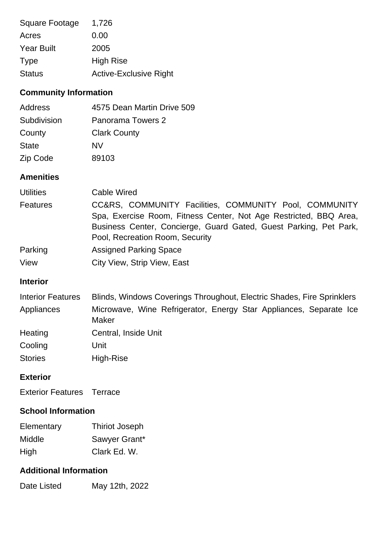| Square Footage    | 1,726                         |
|-------------------|-------------------------------|
| Acres             | 0.00                          |
| <b>Year Built</b> | 2005                          |
| <b>Type</b>       | <b>High Rise</b>              |
| <b>Status</b>     | <b>Active-Exclusive Right</b> |

# **Community Information**

| <b>Address</b> | 4575 Dean Martin Drive 509 |
|----------------|----------------------------|
| Subdivision    | Panorama Towers 2          |
| County         | <b>Clark County</b>        |
| <b>State</b>   | NV                         |
| Zip Code       | 89103                      |

## **Amenities**

| <b>Utilities</b> | <b>Cable Wired</b>                                                                                                                                                                                                                  |
|------------------|-------------------------------------------------------------------------------------------------------------------------------------------------------------------------------------------------------------------------------------|
| <b>Features</b>  | CC&RS, COMMUNITY Facilities, COMMUNITY Pool, COMMUNITY<br>Spa, Exercise Room, Fitness Center, Not Age Restricted, BBQ Area,<br>Business Center, Concierge, Guard Gated, Guest Parking, Pet Park,<br>Pool, Recreation Room, Security |
| Parking          | <b>Assigned Parking Space</b>                                                                                                                                                                                                       |
| View             | City View, Strip View, East                                                                                                                                                                                                         |

## **Interior**

| <b>Interior Features</b> | Blinds, Windows Coverings Throughout, Electric Shades, Fire Sprinklers             |
|--------------------------|------------------------------------------------------------------------------------|
| Appliances               | Microwave, Wine Refrigerator, Energy Star Appliances, Separate Ice<br><b>Maker</b> |
| Heating                  | Central, Inside Unit                                                               |
| Cooling                  | Unit                                                                               |
| <b>Stories</b>           | High-Rise                                                                          |

## **Exterior**

Exterior Features Terrace

# **School Information**

| Elementary | <b>Thiriot Joseph</b> |
|------------|-----------------------|
| Middle     | Sawyer Grant*         |
| High       | Clark Ed. W.          |

## **Additional Information**

Date Listed May 12th, 2022